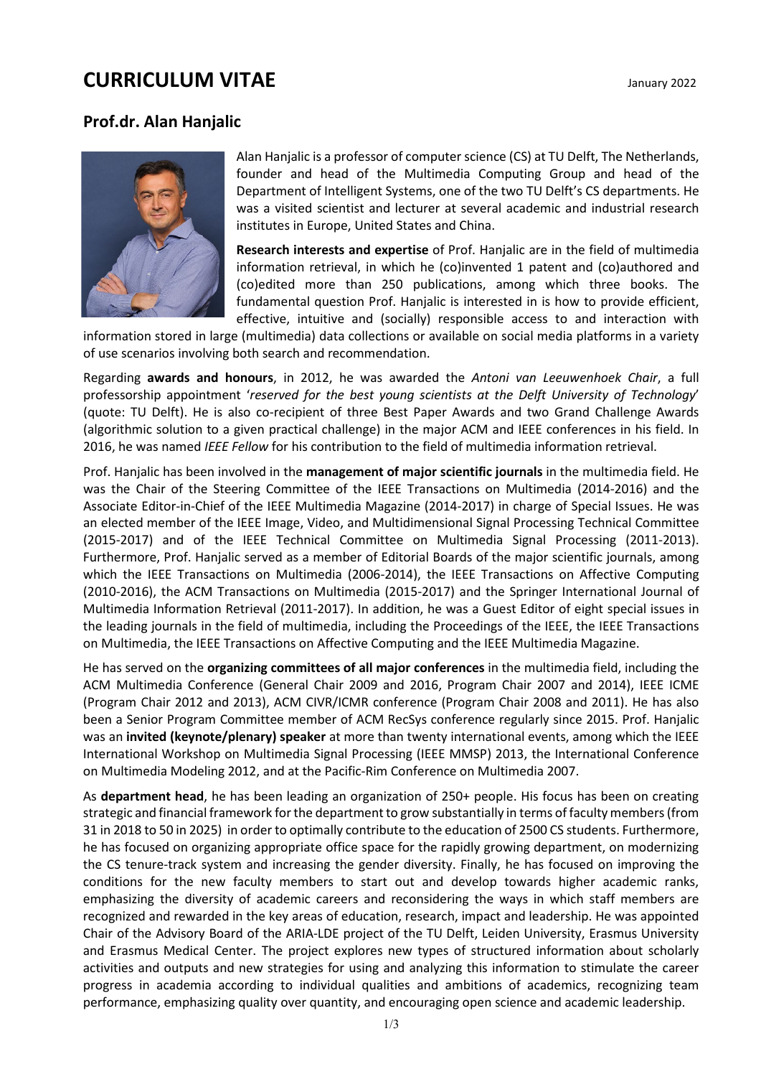# **CURRICULUM VITAE** January 2022

## **Prof.dr. Alan Hanjalic**



Alan Hanjalic is a professor of computer science (CS) at TU Delft, The Netherlands, founder and head of the Multimedia Computing Group and head of the Department of Intelligent Systems, one of the two TU Delft's CS departments. He was a visited scientist and lecturer at several academic and industrial research institutes in Europe, United States and China.

**Research interests and expertise** of Prof. Hanjalic are in the field of multimedia information retrieval, in which he (co)invented 1 patent and (co)authored and (co)edited more than 250 publications, among which three books. The fundamental question Prof. Hanjalic is interested in is how to provide efficient, effective, intuitive and (socially) responsible access to and interaction with

information stored in large (multimedia) data collections or available on social media platforms in a variety of use scenarios involving both search and recommendation.

Regarding **awards and honours**, in 2012, he was awarded the *Antoni van Leeuwenhoek Chair*, a full professorship appointment '*reserved for the best young scientists at the Delft University of Technology*' (quote: TU Delft). He is also co-recipient of three Best Paper Awards and two Grand Challenge Awards (algorithmic solution to a given practical challenge) in the major ACM and IEEE conferences in his field. In 2016, he was named *IEEE Fellow* for his contribution to the field of multimedia information retrieval.

Prof. Hanjalic has been involved in the **management of major scientific journals** in the multimedia field. He was the Chair of the Steering Committee of the IEEE Transactions on Multimedia (2014-2016) and the Associate Editor-in-Chief of the IEEE Multimedia Magazine (2014-2017) in charge of Special Issues. He was an elected member of the IEEE Image, Video, and Multidimensional Signal Processing Technical Committee (2015-2017) and of the IEEE Technical Committee on Multimedia Signal Processing (2011-2013). Furthermore, Prof. Hanjalic served as a member of Editorial Boards of the major scientific journals, among which the IEEE Transactions on Multimedia (2006-2014), the IEEE Transactions on Affective Computing (2010-2016), the ACM Transactions on Multimedia (2015-2017) and the Springer International Journal of Multimedia Information Retrieval (2011-2017). In addition, he was a Guest Editor of eight special issues in the leading journals in the field of multimedia, including the Proceedings of the IEEE, the IEEE Transactions on Multimedia, the IEEE Transactions on Affective Computing and the IEEE Multimedia Magazine.

He has served on the **organizing committees of all major conferences** in the multimedia field, including the ACM Multimedia Conference (General Chair 2009 and 2016, Program Chair 2007 and 2014), IEEE ICME (Program Chair 2012 and 2013), ACM CIVR/ICMR conference (Program Chair 2008 and 2011). He has also been a Senior Program Committee member of ACM RecSys conference regularly since 2015. Prof. Hanjalic was an **invited (keynote/plenary) speaker** at more than twenty international events, among which the IEEE International Workshop on Multimedia Signal Processing (IEEE MMSP) 2013, the International Conference on Multimedia Modeling 2012, and at the Pacific-Rim Conference on Multimedia 2007.

As **department head**, he has been leading an organization of 250+ people. His focus has been on creating strategic and financial framework forthe department to grow substantially in terms of faculty members (from 31 in 2018 to 50 in 2025) in order to optimally contribute to the education of 2500 CS students. Furthermore, he has focused on organizing appropriate office space for the rapidly growing department, on modernizing the CS tenure-track system and increasing the gender diversity. Finally, he has focused on improving the conditions for the new faculty members to start out and develop towards higher academic ranks, emphasizing the diversity of academic careers and reconsidering the ways in which staff members are recognized and rewarded in the key areas of education, research, impact and leadership. He was appointed Chair of the Advisory Board of the ARIA-LDE project of the TU Delft, Leiden University, Erasmus University and Erasmus Medical Center. The project explores new types of structured information about scholarly activities and outputs and new strategies for using and analyzing this information to stimulate the career progress in academia according to individual qualities and ambitions of academics, recognizing team performance, emphasizing quality over quantity, and encouraging open science and academic leadership.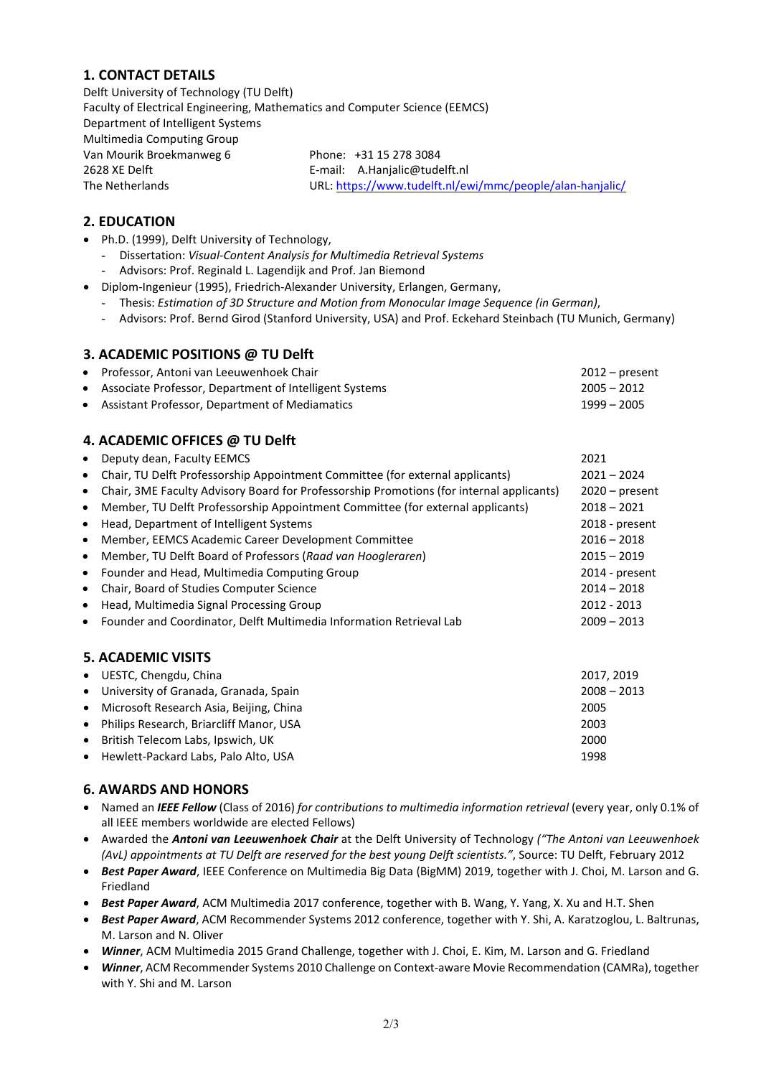## **1. CONTACT DETAILS**

Delft University of Technology (TU Delft) Faculty of Electrical Engineering, Mathematics and Computer Science (EEMCS) Department of Intelligent Systems Multimedia Computing Group Van Mourik Broekmanweg 6 Phone: +31 15 278 3084 2628 XE Delft **E-mail:** A.Hanjalic@tudelft.nl The Netherlands URL:<https://www.tudelft.nl/ewi/mmc/people/alan-hanjalic/>

## **2. EDUCATION**

- Ph.D. (1999), Delft University of Technology,
	- Dissertation: *Visual-Content Analysis for Multimedia Retrieval Systems* - Advisors: Prof. Reginald L. Lagendijk and Prof. Jan Biemond
- Diplom-Ingenieur (1995), Friedrich-Alexander University, Erlangen, Germany,
	- Thesis: *Estimation of 3D Structure and Motion from Monocular Image Sequence (in German)*,
	- Advisors: Prof. Bernd Girod (Stanford University, USA) and Prof. Eckehard Steinbach (TU Munich, Germany)

#### **3. ACADEMIC POSITIONS @ TU Delft**

| • Professor, Antoni van Leeuwenhoek Chair                | $2012$ – present |
|----------------------------------------------------------|------------------|
| • Associate Professor, Department of Intelligent Systems | $2005 - 2012$    |
| • Assistant Professor, Department of Mediamatics         | $1999 - 2005$    |

## **4. ACADEMIC OFFICES @ TU Delft**

| $\bullet$ | Deputy dean, Faculty EEMCS                                                               | 2021             |
|-----------|------------------------------------------------------------------------------------------|------------------|
| $\bullet$ | Chair, TU Delft Professorship Appointment Committee (for external applicants)            | $2021 - 2024$    |
| $\bullet$ | Chair, 3ME Faculty Advisory Board for Professorship Promotions (for internal applicants) | $2020$ – present |
| $\bullet$ | Member, TU Delft Professorship Appointment Committee (for external applicants)           | $2018 - 2021$    |
| $\bullet$ | Head, Department of Intelligent Systems                                                  | 2018 - present   |
| $\bullet$ | Member, EEMCS Academic Career Development Committee                                      | $2016 - 2018$    |
| $\bullet$ | Member, TU Delft Board of Professors (Raad van Hoogleraren)                              | $2015 - 2019$    |
| $\bullet$ | Founder and Head, Multimedia Computing Group                                             | 2014 - present   |
| $\bullet$ | Chair, Board of Studies Computer Science                                                 | $2014 - 2018$    |
| $\bullet$ | Head, Multimedia Signal Processing Group                                                 | 2012 - 2013      |
| $\bullet$ | Founder and Coordinator, Delft Multimedia Information Retrieval Lab                      | $2009 - 2013$    |
|           |                                                                                          |                  |

#### **5. ACADEMIC VISITS**

| • UESTC, Chengdu, China                   | 2017, 2019    |
|-------------------------------------------|---------------|
| • University of Granada, Granada, Spain   | $2008 - 2013$ |
| • Microsoft Research Asia, Beijing, China | 2005          |
| • Philips Research, Briarcliff Manor, USA | 2003          |
| • British Telecom Labs, Ipswich, UK       | 2000          |
| • Hewlett-Packard Labs, Palo Alto, USA    | 1998          |
|                                           |               |

#### **6. AWARDS AND HONORS**

- Named an *IEEE Fellow* (Class of 2016) *for contributions to multimedia information retrieval* (every year, only 0.1% of all IEEE members worldwide are elected Fellows)
- Awarded the *Antoni van Leeuwenhoek Chair* at the Delft University of Technology *("The Antoni van Leeuwenhoek (AvL) appointments at TU Delft are reserved for the best young Delft scientists."*, Source: TU Delft, February 2012
- *Best Paper Award*, IEEE Conference on Multimedia Big Data (BigMM) 2019, together with J. Choi, M. Larson and G. Friedland
- *Best Paper Award*, ACM Multimedia 2017 conference, together with B. Wang, Y. Yang, X. Xu and H.T. Shen
- *Best Paper Award*, ACM Recommender Systems 2012 conference, together with Y. Shi, A. Karatzoglou, L. Baltrunas, M. Larson and N. Oliver
- *Winner*, ACM Multimedia 2015 Grand Challenge, together with J. Choi, E. Kim, M. Larson and G. Friedland
- *Winner*, ACM Recommender Systems 2010 Challenge on Context-aware Movie Recommendation (CAMRa), together with Y. Shi and M. Larson